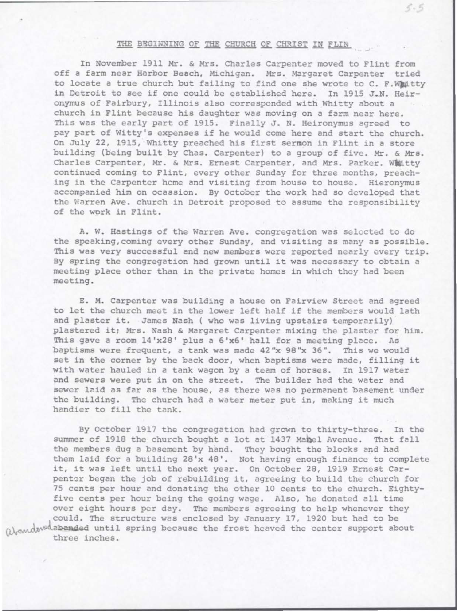## THE BEGINNING OF THE CHURCH OF CHRIST IN FLIN

 $5 - 5$ 

In November 1911 Mr. & Mrs. Charles Carpenter moved to Flint from off a farm near Horbor Beach, Michigan. Mrs. Margaret Carpenter tried to locate a true church but failing to find one she wrote to C. F.Whitty in Detroit to see if one could be established here. In 1915 J.N. Heironymus of Fairbury, Illinois also corresponded with Whitty about a church in Flint because his daughter was moving on a farm near here. This was the early part of 1915. Finally J. N. Heironymus agreed to pay part of Witty's expenses if he would come here and start the church. On July 22, 1915, Whitty preached his first sermon in Flint in a store building (being built by Chas. Carpenter) to a group of five. Mr. & Mrs. Charles Carpenter, Mr. & Mrs. Ernest Carpenter, and Mrs. Parker. Whitty continued coming to Flint, every other Sunday for three months, preaching in the Carpenter home and visiting from house to house. Hieronymus accompanied him on ocassion. By October the work had so developed that the Warren Ave. church in Detroit proposed to assume the responsibility of the work in Flint.

A. W. Hastings of the Warren Ave. congregation was selected to do the speaking,coming every other Sunday, and visiting as many as possible. This was very successful and new members were reported nearly every trip. By spring the congregation had grown until it was necessary to obtain a meeting place other than in the private homes in which they had been meeting .

E. M. Carpenter was building a house on Fairview Street and agreed to let the church meet in the lower left half if the members would lath and plaster it. James Nash ( who was living upstairs temporarily) plastered it; Mrs. Nash & Margaret Carpenter mixing the plaster for him. This gave a room 14'x28' plus a 6'x6' hall for a meeting place. As baptisms were frequent, a tank was made 42"x 98"x 36". This we would set in the corner by the back door, when baptisms were made, filling it with water hauled in a tank wagon by a team of horses. In 1917 water and sewers were put in on the street. The builder had the water and sewer laid as far as the house, as there was no permanent basement under the building. The church had a water meter put in, making it much handier to fill the tank.

By October 1917 the congregation had grown to thirty-three. In the summer of 1918 the church bought a lot at 1437 Mabel Avenue. That fall the members dug a basement by hand. They bought the blocks and had them laid for a building 28'x 48'. Not having enough finance to complete it, it was left until the next year. On October 28, 1919 Ernest Carpenter began the job of rebuilding it, agreeing to build the church for 75 cents per hour and donating the other 10 cents to the church. Eightyfive cents per hour being the going wage. Also, he donated all time over eight hours per day. The members agreeing to help whenever they could. The structure was enclosed by January 17, 1920 but had to be (),and we abonded until spring because the frost heaved the center support about three inches.